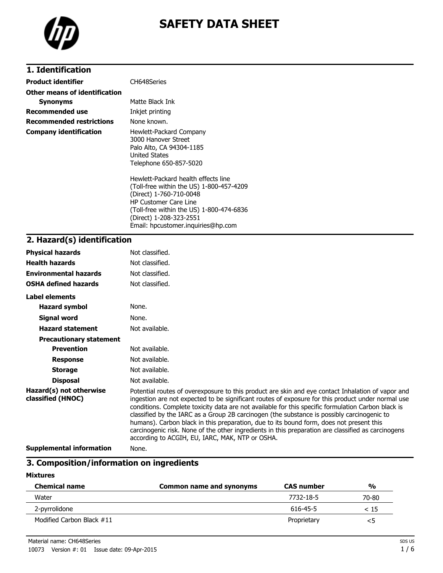

# **SAFETY DATA SHEET**

# **1. Identification**

| <b>Product identifier</b>       | CH648Series                                                                                                                                                                                                       |
|---------------------------------|-------------------------------------------------------------------------------------------------------------------------------------------------------------------------------------------------------------------|
| Other means of identification   |                                                                                                                                                                                                                   |
| <b>Synonyms</b>                 | Matte Black Ink                                                                                                                                                                                                   |
| Recommended use                 | Inkjet printing                                                                                                                                                                                                   |
| <b>Recommended restrictions</b> | None known.                                                                                                                                                                                                       |
| <b>Company identification</b>   | Hewlett-Packard Company<br>3000 Hanover Street<br>Palo Alto, CA 94304-1185<br><b>United States</b><br>Telephone 650-857-5020                                                                                      |
|                                 | Hewlett-Packard health effects line<br>(Toll-free within the US) 1-800-457-4209<br>(Direct) 1-760-710-0048<br><b>HP Customer Care Line</b><br>(Toll-free within the US) 1-800-474-6836<br>(Direct) 1-208-323-2551 |

Email: hpcustomer.inquiries@hp.com

### **2. Hazard(s) identification**

| <b>Physical hazards</b>                      | Not classified.                                                                                                                                                                                                                                                                                                                                                                                                                                                                                                                                                                                                                                                |
|----------------------------------------------|----------------------------------------------------------------------------------------------------------------------------------------------------------------------------------------------------------------------------------------------------------------------------------------------------------------------------------------------------------------------------------------------------------------------------------------------------------------------------------------------------------------------------------------------------------------------------------------------------------------------------------------------------------------|
| <b>Health hazards</b>                        | Not classified.                                                                                                                                                                                                                                                                                                                                                                                                                                                                                                                                                                                                                                                |
| <b>Environmental hazards</b>                 | Not classified.                                                                                                                                                                                                                                                                                                                                                                                                                                                                                                                                                                                                                                                |
| <b>OSHA defined hazards</b>                  | Not classified.                                                                                                                                                                                                                                                                                                                                                                                                                                                                                                                                                                                                                                                |
| Label elements                               |                                                                                                                                                                                                                                                                                                                                                                                                                                                                                                                                                                                                                                                                |
| <b>Hazard symbol</b>                         | None.                                                                                                                                                                                                                                                                                                                                                                                                                                                                                                                                                                                                                                                          |
| Signal word                                  | None.                                                                                                                                                                                                                                                                                                                                                                                                                                                                                                                                                                                                                                                          |
| <b>Hazard statement</b>                      | Not available.                                                                                                                                                                                                                                                                                                                                                                                                                                                                                                                                                                                                                                                 |
| <b>Precautionary statement</b>               |                                                                                                                                                                                                                                                                                                                                                                                                                                                                                                                                                                                                                                                                |
| <b>Prevention</b>                            | Not available.                                                                                                                                                                                                                                                                                                                                                                                                                                                                                                                                                                                                                                                 |
| <b>Response</b>                              | Not available.                                                                                                                                                                                                                                                                                                                                                                                                                                                                                                                                                                                                                                                 |
| <b>Storage</b>                               | Not available.                                                                                                                                                                                                                                                                                                                                                                                                                                                                                                                                                                                                                                                 |
| <b>Disposal</b>                              | Not available.                                                                                                                                                                                                                                                                                                                                                                                                                                                                                                                                                                                                                                                 |
| Hazard(s) not otherwise<br>classified (HNOC) | Potential routes of overexposure to this product are skin and eye contact Inhalation of vapor and<br>ingestion are not expected to be significant routes of exposure for this product under normal use<br>conditions. Complete toxicity data are not available for this specific formulation Carbon black is<br>classified by the IARC as a Group 2B carcinogen (the substance is possibly carcinogenic to<br>humans). Carbon black in this preparation, due to its bound form, does not present this<br>carcinogenic risk. None of the other ingredients in this preparation are classified as carcinogens<br>according to ACGIH, EU, IARC, MAK, NTP or OSHA. |
|                                              |                                                                                                                                                                                                                                                                                                                                                                                                                                                                                                                                                                                                                                                                |

**Supplemental information** None.

# **3. Composition/information on ingredients**

#### **Mixtures**

| <b>Chemical name</b>      | Common name and synonyms | <b>CAS number</b> | $\frac{0}{0}$ |
|---------------------------|--------------------------|-------------------|---------------|
| Water                     |                          | 7732-18-5         | 70-80         |
| 2-pyrrolidone             |                          | 616-45-5          | < 15          |
| Modified Carbon Black #11 |                          | Proprietary       | <5            |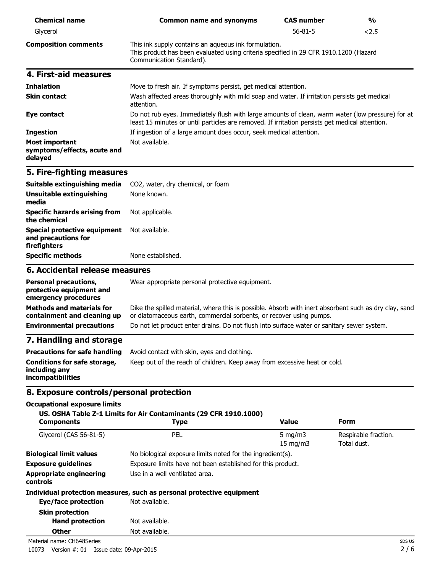| <b>Chemical name</b>                                            | <b>Common name and synonyms</b>                                                                                                                                                                    | <b>CAS number</b> | $\frac{1}{2}$ |
|-----------------------------------------------------------------|----------------------------------------------------------------------------------------------------------------------------------------------------------------------------------------------------|-------------------|---------------|
| Glycerol                                                        |                                                                                                                                                                                                    | $56 - 81 - 5$     | 2.5           |
| <b>Composition comments</b>                                     | This ink supply contains an aqueous ink formulation.<br>This product has been evaluated using criteria specified in 29 CFR 1910.1200 (Hazard<br>Communication Standard).                           |                   |               |
| 4. First-aid measures                                           |                                                                                                                                                                                                    |                   |               |
| <b>Inhalation</b>                                               | Move to fresh air. If symptoms persist, get medical attention.                                                                                                                                     |                   |               |
| <b>Skin contact</b>                                             | Wash affected areas thoroughly with mild soap and water. If irritation persists get medical<br>attention.                                                                                          |                   |               |
| Eye contact                                                     | Do not rub eyes. Immediately flush with large amounts of clean, warm water (low pressure) for at<br>least 15 minutes or until particles are removed. If irritation persists get medical attention. |                   |               |
| <b>Ingestion</b>                                                | If ingestion of a large amount does occur, seek medical attention.                                                                                                                                 |                   |               |
| <b>Most important</b><br>symptoms/effects, acute and<br>delayed | Not available.                                                                                                                                                                                     |                   |               |

# **5. Fire-fighting measures**

| Suitable extinguishing media                                                       | CO2, water, dry chemical, or foam |
|------------------------------------------------------------------------------------|-----------------------------------|
| Unsuitable extinguishing<br>media                                                  | None known.                       |
| <b>Specific hazards arising from</b><br>the chemical                               | Not applicable.                   |
| Special protective equipment Not available.<br>and precautions for<br>firefighters |                                   |
| <b>Specific methods</b>                                                            | None established.                 |

#### **6. Accidental release measures**

| <b>Personal precautions,</b><br>protective equipment and<br>emergency procedures | Wear appropriate personal protective equipment.                                                                                                                              |
|----------------------------------------------------------------------------------|------------------------------------------------------------------------------------------------------------------------------------------------------------------------------|
| <b>Methods and materials for</b><br>containment and cleaning up                  | Dike the spilled material, where this is possible. Absorb with inert absorbent such as dry clay, sand<br>or diatomaceous earth, commercial sorbents, or recover using pumps. |
| <b>Environmental precautions</b>                                                 | Do not let product enter drains. Do not flush into surface water or sanitary sewer system.                                                                                   |
| 7 Handling and ctorago                                                           |                                                                                                                                                                              |

### **7. Handling and storage**

| Precautions for safe handling                                      | Avoid contact with skin, eyes and clothing.                               |
|--------------------------------------------------------------------|---------------------------------------------------------------------------|
| Conditions for safe storage,<br>including any<br>incompatibilities | Keep out of the reach of children. Keep away from excessive heat or cold. |

# **8. Exposure controls/personal protection**

#### **Occupational exposure limits**

#### **US. OSHA Table Z-1 Limits for Air Contaminants (29 CFR 1910.1000)**

| <b>Components</b>                                 | <b>Type</b>                                                           | <b>Value</b>                                                | Form                                |
|---------------------------------------------------|-----------------------------------------------------------------------|-------------------------------------------------------------|-------------------------------------|
| Glycerol (CAS 56-81-5)                            | <b>PEL</b>                                                            | 5 mg/m $3$<br>$15 \text{ mg/m}$                             | Respirable fraction.<br>Total dust. |
| <b>Biological limit values</b>                    | No biological exposure limits noted for the ingredient(s).            |                                                             |                                     |
| <b>Exposure guidelines</b>                        |                                                                       | Exposure limits have not been established for this product. |                                     |
| <b>Appropriate engineering</b><br><b>controls</b> | Use in a well ventilated area.                                        |                                                             |                                     |
|                                                   | Individual protection measures, such as personal protective equipment |                                                             |                                     |
| Eye/face protection                               | Not available.                                                        |                                                             |                                     |
| <b>Skin protection</b>                            |                                                                       |                                                             |                                     |
| <b>Hand protection</b>                            | Not available.                                                        |                                                             |                                     |
| <b>Other</b>                                      | Not available.                                                        |                                                             |                                     |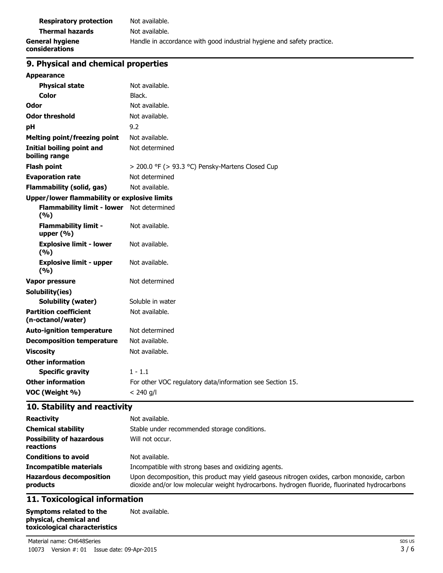| <b>Respiratory protection</b>     | Not available.                                                         |
|-----------------------------------|------------------------------------------------------------------------|
| <b>Thermal hazards</b>            | Not available.                                                         |
| General hygiene<br>considerations | Handle in accordance with good industrial hygiene and safety practice. |

# **9. Physical and chemical properties**

| <b>Appearance</b>                                  |                                                           |  |
|----------------------------------------------------|-----------------------------------------------------------|--|
| <b>Physical state</b>                              | Not available.                                            |  |
| <b>Color</b>                                       | Black.                                                    |  |
| Odor                                               | Not available.                                            |  |
| <b>Odor threshold</b>                              | Not available.                                            |  |
| рH                                                 | 9.2                                                       |  |
| <b>Melting point/freezing point</b>                | Not available.                                            |  |
| <b>Initial boiling point and</b><br>boiling range  | Not determined                                            |  |
| <b>Flash point</b>                                 | > 200.0 °F (> 93.3 °C) Pensky-Martens Closed Cup          |  |
| <b>Evaporation rate</b>                            | Not determined                                            |  |
| <b>Flammability (solid, gas)</b>                   | Not available.                                            |  |
| Upper/lower flammability or explosive limits       |                                                           |  |
| Flammability limit - lower Not determined<br>(9/6) |                                                           |  |
| <b>Flammability limit -</b><br>upper $(% )$        | Not available.                                            |  |
| <b>Explosive limit - lower</b><br>(%)              | Not available.                                            |  |
| <b>Explosive limit - upper</b><br>(%)              | Not available.                                            |  |
| <b>Vapor pressure</b>                              | Not determined                                            |  |
| Solubility(ies)                                    |                                                           |  |
| <b>Solubility (water)</b>                          | Soluble in water                                          |  |
| <b>Partition coefficient</b><br>(n-octanol/water)  | Not available.                                            |  |
| <b>Auto-ignition temperature</b>                   | Not determined                                            |  |
| <b>Decomposition temperature</b>                   | Not available.                                            |  |
| <b>Viscosity</b>                                   | Not available.                                            |  |
| <b>Other information</b>                           |                                                           |  |
| <b>Specific gravity</b>                            | $1 - 1.1$                                                 |  |
| <b>Other information</b>                           | For other VOC regulatory data/information see Section 15. |  |
| VOC (Weight %)                                     | $< 240$ g/l                                               |  |

# **10. Stability and reactivity**

| <b>Reactivity</b><br><b>Chemical stability</b><br><b>Possibility of hazardous</b><br>reactions | Not available.<br>Stable under recommended storage conditions.<br>Will not occur.                                                                                                            |
|------------------------------------------------------------------------------------------------|----------------------------------------------------------------------------------------------------------------------------------------------------------------------------------------------|
| <b>Conditions to avoid</b>                                                                     | Not available.                                                                                                                                                                               |
| <b>Incompatible materials</b>                                                                  | Incompatible with strong bases and oxidizing agents.                                                                                                                                         |
| <b>Hazardous decomposition</b><br>products                                                     | Upon decomposition, this product may yield gaseous nitrogen oxides, carbon monoxide, carbon<br>dioxide and/or low molecular weight hydrocarbons. hydrogen fluoride, fluorinated hydrocarbons |

# **11. Toxicological information**

**Symptoms related to the physical, chemical and toxicological characteristics** Not available.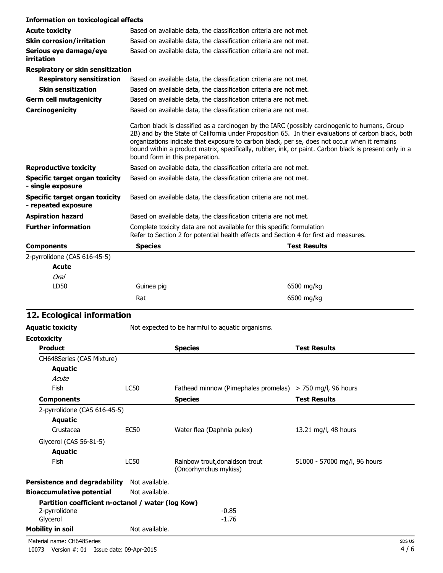| <b>Information on toxicological effects</b>                  |                                 |                                                                                                                                                                                                                                                                                                                                                                                                                |
|--------------------------------------------------------------|---------------------------------|----------------------------------------------------------------------------------------------------------------------------------------------------------------------------------------------------------------------------------------------------------------------------------------------------------------------------------------------------------------------------------------------------------------|
| <b>Acute toxicity</b>                                        |                                 | Based on available data, the classification criteria are not met.                                                                                                                                                                                                                                                                                                                                              |
| <b>Skin corrosion/irritation</b>                             |                                 | Based on available data, the classification criteria are not met.                                                                                                                                                                                                                                                                                                                                              |
| Serious eye damage/eye<br>irritation                         |                                 | Based on available data, the classification criteria are not met.                                                                                                                                                                                                                                                                                                                                              |
| <b>Respiratory or skin sensitization</b>                     |                                 |                                                                                                                                                                                                                                                                                                                                                                                                                |
| <b>Respiratory sensitization</b>                             |                                 | Based on available data, the classification criteria are not met.                                                                                                                                                                                                                                                                                                                                              |
| <b>Skin sensitization</b>                                    |                                 | Based on available data, the classification criteria are not met.                                                                                                                                                                                                                                                                                                                                              |
| <b>Germ cell mutagenicity</b>                                |                                 | Based on available data, the classification criteria are not met.                                                                                                                                                                                                                                                                                                                                              |
| Carcinogenicity                                              |                                 | Based on available data, the classification criteria are not met.                                                                                                                                                                                                                                                                                                                                              |
|                                                              | bound form in this preparation. | Carbon black is classified as a carcinogen by the IARC (possibly carcinogenic to humans, Group<br>2B) and by the State of California under Proposition 65. In their evaluations of carbon black, both<br>organizations indicate that exposure to carbon black, per se, does not occur when it remains<br>bound within a product matrix, specifically, rubber, ink, or paint. Carbon black is present only in a |
| <b>Reproductive toxicity</b>                                 |                                 | Based on available data, the classification criteria are not met.                                                                                                                                                                                                                                                                                                                                              |
| <b>Specific target organ toxicity</b><br>- single exposure   |                                 | Based on available data, the classification criteria are not met.                                                                                                                                                                                                                                                                                                                                              |
| <b>Specific target organ toxicity</b><br>- repeated exposure |                                 | Based on available data, the classification criteria are not met.                                                                                                                                                                                                                                                                                                                                              |
| <b>Aspiration hazard</b>                                     |                                 | Based on available data, the classification criteria are not met.                                                                                                                                                                                                                                                                                                                                              |
| <b>Further information</b>                                   |                                 | Complete toxicity data are not available for this specific formulation<br>Refer to Section 2 for potential health effects and Section 4 for first aid measures.                                                                                                                                                                                                                                                |
| <b>Components</b>                                            | <b>Species</b>                  | <b>Test Results</b>                                                                                                                                                                                                                                                                                                                                                                                            |
| 2-pyrrolidone (CAS 616-45-5)                                 |                                 |                                                                                                                                                                                                                                                                                                                                                                                                                |
| <b>Acute</b>                                                 |                                 |                                                                                                                                                                                                                                                                                                                                                                                                                |
| <b>Oral</b>                                                  |                                 |                                                                                                                                                                                                                                                                                                                                                                                                                |
| LD50                                                         | Guinea pig                      | 6500 mg/kg                                                                                                                                                                                                                                                                                                                                                                                                     |

# **12. Ecological information**

|                | <b>Species</b>                                                       | <b>Test Results</b>                                                                                                                                                           |
|----------------|----------------------------------------------------------------------|-------------------------------------------------------------------------------------------------------------------------------------------------------------------------------|
|                |                                                                      |                                                                                                                                                                               |
|                |                                                                      |                                                                                                                                                                               |
|                |                                                                      |                                                                                                                                                                               |
| <b>LC50</b>    |                                                                      |                                                                                                                                                                               |
|                | <b>Species</b>                                                       | <b>Test Results</b>                                                                                                                                                           |
|                |                                                                      |                                                                                                                                                                               |
|                |                                                                      |                                                                                                                                                                               |
| <b>EC50</b>    | Water flea (Daphnia pulex)                                           | 13.21 mg/l, 48 hours                                                                                                                                                          |
|                |                                                                      |                                                                                                                                                                               |
|                |                                                                      |                                                                                                                                                                               |
| <b>LC50</b>    | Rainbow trout, donaldson trout<br>(Oncorhynchus mykiss)              | 51000 - 57000 mg/l, 96 hours                                                                                                                                                  |
| Not available. |                                                                      |                                                                                                                                                                               |
| Not available. |                                                                      |                                                                                                                                                                               |
|                |                                                                      |                                                                                                                                                                               |
|                | $-0.85$                                                              |                                                                                                                                                                               |
|                |                                                                      |                                                                                                                                                                               |
| Not available. |                                                                      |                                                                                                                                                                               |
|                | 2-pyrrolidone (CAS 616-45-5)<br><b>Persistence and degradability</b> | Not expected to be harmful to aquatic organisms.<br>Fathead minnow (Pimephales promelas) > 750 mg/l, 96 hours<br>Partition coefficient n-octanol / water (log Kow)<br>$-1.76$ |

Rat 6500 mg/kg

Material name: CH648Series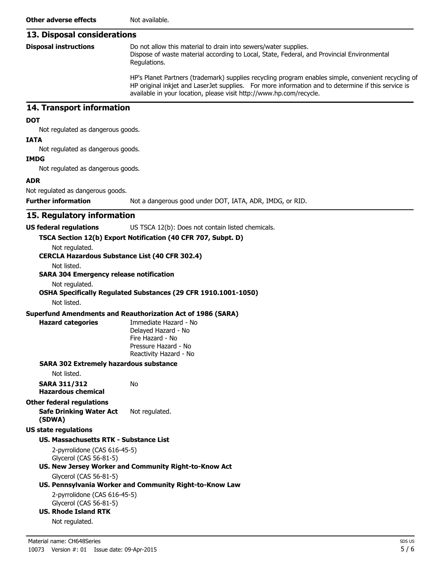## **13. Disposal considerations**

|  | <b>Disposal instructions</b> |
|--|------------------------------|
|--|------------------------------|

Do not allow this material to drain into sewers/water supplies. Dispose of waste material according to Local, State, Federal, and Provincial Environmental Regulations.

HP's Planet Partners (trademark) supplies recycling program enables simple, convenient recycling of HP original inkjet and LaserJet supplies. For more information and to determine if this service is available in your location, please visit http://www.hp.com/recycle.

### **14. Transport information**

#### **DOT**

Not regulated as dangerous goods.

#### **IATA**

Not regulated as dangerous goods.

#### **IMDG**

Not regulated as dangerous goods.

#### **ADR**

Not regulated as dangerous goods.

**Further information** Not a dangerous good under DOT, IATA, ADR, IMDG, or RID.

### **15. Regulatory information**

#### **US federal regulations** US TSCA 12(b): Does not contain listed chemicals.

**TSCA Section 12(b) Export Notification (40 CFR 707, Subpt. D)**

Not regulated. **CERCLA Hazardous Substance List (40 CFR 302.4)**

Not listed.

#### **SARA 304 Emergency release notification**

Not regulated.

## **OSHA Specifically Regulated Substances (29 CFR 1910.1001-1050)**

Not listed.

#### **Superfund Amendments and Reauthorization Act of 1986 (SARA)**

No

**Hazard categories** Immediate Hazard - No Delayed Hazard - No Fire Hazard - No Pressure Hazard - No Reactivity Hazard - No

#### **SARA 302 Extremely hazardous substance**

Not listed.

**SARA 311/312 Hazardous chemical**

#### **Other federal regulations**

**Safe Drinking Water Act (SDWA)** Not regulated.

#### **US state regulations**

#### **US. Massachusetts RTK - Substance List**

2-pyrrolidone (CAS 616-45-5) Glycerol (CAS 56-81-5)

### **US. New Jersey Worker and Community Right-to-Know Act**

### Glycerol (CAS 56-81-5)

### **US. Pennsylvania Worker and Community Right-to-Know Law**

2-pyrrolidone (CAS 616-45-5) Glycerol (CAS 56-81-5)

# **US. Rhode Island RTK**

Not regulated.